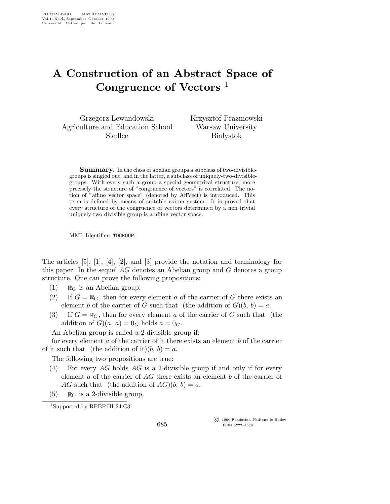## A Construction of an Abstract Space of Congruence of Vectors  $<sup>1</sup>$ </sup>

Grzegorz Lewandowski Agriculture and Education School Siedlce

Krzysztof Prażmowski Warsaw University **Białystok** 

**Summary.** In the class of abelian groups a subclass of two-divisiblegroups is singled out, and in the latter, a subclass of uniquely-two-divisiblegroups. With every such a group a special geometrical structure, more precisely the structure of "congruence of vectors" is correlated. The notion of "affine vector space" (denoted by AffVect) is introduced. This term is defined by means of suitable axiom system. It is proved that every structure of the congruence of vectors determined by a non trivial uniquely two divisible group is a affine vector space.

MML Identifier: TDGROUP.

The articles [5], [1], [4], [2], and [3] provide the notation and terminology for this paper. In the sequel AG denotes an Abelian group and G denotes a group structure. One can prove the following propositions:

- $(1)$  R<sub>G</sub> is an Abelian group.
- (2) If  $G = \mathbb{R}_{G}$ , then for every element a of the carrier of G there exists an element b of the carrier of G such that (the addition of  $G$ ) $(b, b) = a$ .
- (3) If  $G = \mathbb{R}_{G}$ , then for every element a of the carrier of G such that (the addition of  $G(a, a) = 0_G$  holds  $a = 0_G$ .

An Abelian group is called a 2-divisible group if:

for every element a of the carrier of it there exists an element b of the carrier of it such that (the addition of it) $(b, b) = a$ .

The following two propositions are true:

- (4) For every AG holds AG is a 2-divisible group if and only if for every element a of the carrier of  $AG$  there exists an element b of the carrier of AG such that (the addition of  $AG$ ) $(b, b) = a$ .
- (5)  $\mathbb{R}_{\text{G}}$  is a 2-divisible group.

<sup>1</sup>Supported by RPBP.III-24.C3.

685

 c 1990 Fondation Philippe le Hodey ISSN 0777–4028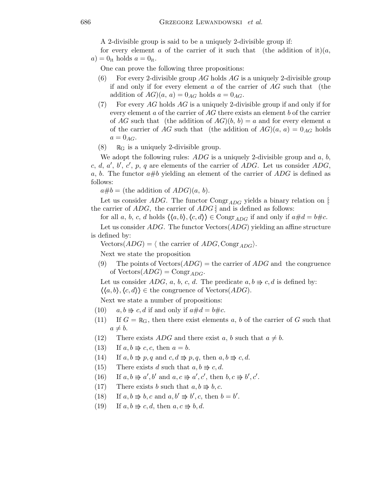A 2-divisible group is said to be a uniquely 2-divisible group if:

for every element a of the carrier of it such that (the addition of it)(a,  $a$ ) = 0<sub>it</sub> holds  $a = 0$ <sub>it</sub>.

One can prove the following three propositions:

- (6) For every 2-divisible group AG holds AG is a uniquely 2-divisible group if and only if for every element  $a$  of the carrier of  $AG$  such that (the addition of  $AG)(a, a) = 0_{AG}$  holds  $a = 0_{AG}$ .
- (7) For every  $AG$  holds  $AG$  is a uniquely 2-divisible group if and only if for every element a of the carrier of AG there exists an element b of the carrier of AG such that (the addition of  $AG$ ) $(b, b) = a$  and for every element a of the carrier of AG such that (the addition of  $AG(a, a) = 0_{AG}$  holds  $a = 0_{AG}.$
- (8)  $\mathbb{R}_{G}$  is a uniquely 2-divisible group.

We adopt the following rules:  $ADG$  is a uniquely 2-divisible group and a, b, c, d, a', b', c', p, q are elements of the carrier of  $\overrightarrow{ADG}$ . Let us consider  $\overrightarrow{ADG}$ , a, b. The functor  $a\#b$  yielding an element of the carrier of  $ADG$  is defined as follows:

 $a\#b =$  (the addition of  $ADG(a, b)$ .

Let us consider ADG. The functor Congr<sub>ADG</sub> yields a binary relation on  $\vdots$ the carrier of  $ADG$ , the carrier of  $ADG$  : and is defined as follows:

for all a, b, c, d holds  $\langle \langle a,b \rangle, \langle c,d \rangle \rangle \in \text{Congr}_{ADC}$  if and only if  $a \# d = b \# c$ .

Let us consider  $ADG$ . The functor  $\text{Vectors}(ADG)$  yielding an affine structure is defined by:

Vectors $(ADG) = \langle$  the carrier of  $ADG$ , Congr<sub>ADG</sub> $\rangle$ .

Next we state the proposition

(9) The points of Vectors  $(ADG)$  = the carrier of  $ADG$  and the congruence of  $Vectors(ADG) = Congr_{ADG}$ .

Let us consider ADG, a, b, c, d. The predicate  $a, b \Rightarrow c, d$  is defined by:  $\langle \langle a,b \rangle, \langle c,d \rangle \rangle \in \text{the congruence of Vectors}(ADG).$ 

Next we state a number of propositions:

- (10)  $a, b \Rightarrow c, d$  if and only if  $a \# d = b \# c$ .
- (11) If  $G = \mathbb{R}_{G}$ , then there exist elements a, b of the carrier of G such that  $a \neq b$ .
- (12) There exists *ADG* and there exist a, b such that  $a \neq b$ .
- (13) If  $a, b \Rightarrow c, c$ , then  $a = b$ .
- (14) If  $a, b \Rightarrow p, q$  and  $c, d \Rightarrow p, q$ , then  $a, b \Rightarrow c, d$ .
- (15) There exists d such that  $a, b \Rightarrow c, d$ .
- (16) If  $a, b \Rightarrow a', b'$  and  $a, c \Rightarrow a', c'$ , then  $b, c \Rightarrow b', c'$ .
- (17) There exists b such that  $a, b \Rightarrow b, c$ .
- (18) If  $a, b \Rightarrow b, c$  and  $a, b' \Rightarrow b', c$ , then  $b = b'$ .
- (19) If  $a, b \Rightarrow c, d$ , then  $a, c \Rightarrow b, d$ .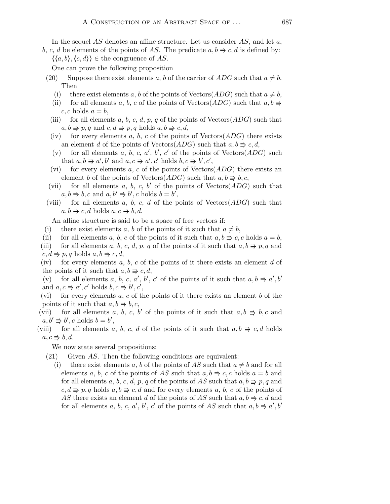b, c, d be elements of the points of AS. The predicate  $a, b \Rightarrow c, d$  is defined by:  $\langle \langle a,b \rangle, \langle c,d \rangle \rangle \in \text{the congruence of } AS.$ 

One can prove the following proposition

- (20) Suppose there exist elements a, b of the carrier of ADG such that  $a \neq b$ . Then
	- (i) there exist elements a, b of the points of Vectors( $ADG$ ) such that  $a \neq b$ ,
	- (ii) for all elements a, b, c of the points of Vectors( $ADG$ ) such that  $a, b \Rightarrow$  $c, c$  holds  $a = b$ ,
	- (iii) for all elements a, b, c, d, p, q of the points of Vectors( $ADG$ ) such that  $a, b \Rightarrow p, q \text{ and } c, d \Rightarrow p, q \text{ holds } a, b \Rightarrow c, d,$
	- (iv) for every elements a, b, c of the points of Vectors $(ADG)$  there exists an element d of the points of Vectors( $ADG$ ) such that  $a, b \Rightarrow c, d$ ,
	- (v) for all elements a, b, c, a', b', c' of the points of  $Vectors(ADG)$  such that  $a, b \Rightarrow a', b'$  and  $a, c \Rightarrow a', c'$  holds  $b, c \Rightarrow b', c'$ ,
	- (vi) for every elements a, c of the points of Vectors( $ADG$ ) there exists an element b of the points of Vectors( $ADG$ ) such that  $a, b \Rightarrow b, c$ ,
- (vii) for all elements a, b, c, b' of the points of  $Vectors(ADG)$  such that  $a, b \Rightarrow b, c \text{ and } a, b' \Rightarrow b', c \text{ holds } b = b',$
- (viii) for all elements a, b, c, d of the points of  $Vectors(ADG)$  such that  $a, b \Rightarrow c, d$  holds  $a, c \Rightarrow b, d$ .

An affine structure is said to be a space of free vectors if:

- (i) there exist elements a, b of the points of it such that  $a \neq b$ ,
- (ii) for all elements a, b, c of the points of it such that  $a, b \Rightarrow c, c$  holds  $a = b$ ,
- (iii) for all elements a, b, c, d, p, q of the points of it such that  $a, b \Rightarrow p, q$  and  $c, d \Rightarrow p, q$  holds  $a, b \Rightarrow c, d$ ,

(iv) for every elements  $a, b, c$  of the points of it there exists an element  $d$  of the points of it such that  $a, b \Rightarrow c, d$ ,

(v) for all elements a, b, c, a', b', c' of the points of it such that  $a, b \Rightarrow a', b'$ and  $a, c \Rightarrow a', c'$  holds  $b, c \Rightarrow b', c'$ ,

(vi) for every elements a, c of the points of it there exists an element b of the points of it such that  $a, b \Rightarrow b, c$ ,

- (vii) for all elements a, b, c, b' of the points of it such that  $a, b \Rightarrow b, c$  and  $a, b' \rightrightarrows b', c \text{ holds } b = b',$
- (viii) for all elements a, b, c, d of the points of it such that  $a, b \Rightarrow c, d$  holds  $a, c \Rightarrow b, d.$

We now state several propositions:

- (21) Given AS. Then the following conditions are equivalent:
- (i) there exist elements a, b of the points of AS such that  $a \neq b$  and for all elements a, b, c of the points of AS such that  $a, b \Rightarrow c, c$  holds  $a = b$  and for all elements a, b, c, d, p, q of the points of AS such that  $a, b \Rightarrow p, q$  and  $c, d \Rightarrow p, q$  holds  $a, b \Rightarrow c, d$  and for every elements a, b, c of the points of AS there exists an element d of the points of AS such that  $a, b \Rightarrow c, d$  and for all elements a, b, c, a', b', c' of the points of AS such that  $a, b \Rightarrow a', b'$